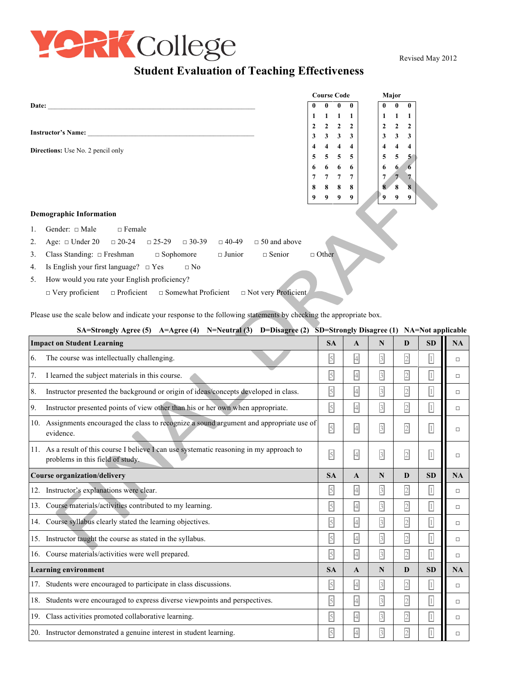

Revised May 2012

## **Student Evaluation of Teaching Effectiveness**

|                                          |                                                                |               |                           |           |              | <b>Course Code</b>      |              |                         | Major                   |                |   |              |              |                         |  |
|------------------------------------------|----------------------------------------------------------------|---------------|---------------------------|-----------|--------------|-------------------------|--------------|-------------------------|-------------------------|----------------|---|--------------|--------------|-------------------------|--|
| Date:                                    |                                                                |               |                           |           |              |                         | 0            |                         | $\mathbf{0}$            | $\mathbf{0}$   |   | 0            | $\mathbf{0}$ | $\mathbf{0}$            |  |
|                                          |                                                                |               |                           |           |              |                         | $\mathbf{1}$ |                         | 1                       | $\blacksquare$ |   | 1            |              | -1                      |  |
|                                          |                                                                |               |                           |           |              |                         | $\mathbf{2}$ | 2                       | $\overline{2}$          | $\mathbf{2}$   |   | $\mathbf{2}$ | $\mathbf{2}$ | $\overline{2}$          |  |
| <b>Instructor's Name:</b>                |                                                                |               |                           |           |              |                         |              | $\mathbf{3}$            | $\mathbf{3}$            | 3 <sup>1</sup> |   | 3            | 3            | 3                       |  |
| <b>Directions:</b> Use No. 2 pencil only |                                                                |               |                           |           |              | $\overline{\mathbf{4}}$ | 4            | $\overline{\mathbf{4}}$ | $\overline{\mathbf{4}}$ |                | 4 | 4            | 4            |                         |  |
|                                          |                                                                |               |                           |           |              |                         | 5            | 5                       | 5                       | 5              |   | 5            | 5            | 5                       |  |
|                                          |                                                                |               |                           |           |              |                         | 6            | 6                       | 6                       | -6             |   | 6            | 6            |                         |  |
|                                          |                                                                |               |                           |           |              |                         | 7            | 7                       | 7                       | $\overline{7}$ |   |              |              |                         |  |
|                                          |                                                                |               |                           |           |              |                         | 8            | 8                       | 8                       | -8             |   | 8            | 8            | $\overline{\mathbf{8}}$ |  |
|                                          |                                                                |               |                           |           |              |                         | 9            | 9                       | 9                       | 9              |   | 9            | 9            | 9                       |  |
| <b>Demographic Information</b>           |                                                                |               |                           |           |              |                         |              |                         |                         |                |   |              |              |                         |  |
|                                          | Gender: $\Box$ Male                                            | $\Box$ Female |                           |           |              |                         |              |                         |                         |                |   |              |              |                         |  |
| 2.                                       | Age: $\Box$ Under 20 $\Box$ 20-24                              |               | $\Box$ 25-29 $\Box$ 30-39 |           | $\Box$ 40-49 | $\Box$ 50 and above     |              |                         |                         |                |   |              |              |                         |  |
| 3.                                       | Class Standing: $\Box$ Freshman $\Box$ Sophomore $\Box$ Junior |               |                           |           |              | $\Box$ Senior           |              | $\Box$ Other            |                         |                |   |              |              |                         |  |
| 4.                                       | Is English your first language? $\Box$ Yes                     |               |                           | $\Box$ No |              |                         |              |                         |                         |                |   |              |              |                         |  |
|                                          |                                                                |               |                           |           |              |                         |              |                         |                         |                |   |              |              |                         |  |

5. How would you rate your English proficiency?

□ Very proficient □ Proficient □ Somewhat Proficient □ Not very Proficient

Please use the scale below and indicate your response to the following statements by checking the appropriate box.

| SA=Strongly Agree (5) A=Agree (4) N=Neutral (3) D=Disagree (2) SD=Strongly Disagree (1) NA=Not applicable |                                                                                                                               |                |                |                         |                |                |           |  |  |
|-----------------------------------------------------------------------------------------------------------|-------------------------------------------------------------------------------------------------------------------------------|----------------|----------------|-------------------------|----------------|----------------|-----------|--|--|
|                                                                                                           | <b>Impact on Student Learning</b>                                                                                             |                |                | N                       | D              | <b>SD</b>      | <b>NA</b> |  |  |
| 6.                                                                                                        | The course was intellectually challenging.                                                                                    | $\overline{5}$ | $\overline{4}$ | $\overline{\mathbf{3}}$ | $\sqrt{2}$     | $\overline{1}$ | □         |  |  |
| 7.                                                                                                        | I learned the subject materials in this course.                                                                               | $\overline{5}$ | $\overline{4}$ | $\overline{\mathbf{3}}$ | $\overline{2}$ | $\boxed{1}$    | $\Box$    |  |  |
| 8.                                                                                                        | Instructor presented the background or origin of ideas/concepts developed in class.                                           | $\overline{5}$ | $\overline{4}$ | $\overline{\mathbf{3}}$ | $\overline{2}$ | $\boxed{1}$    | $\Box$    |  |  |
| 9.                                                                                                        | Instructor presented points of view other than his or her own when appropriate.                                               | $\overline{5}$ | $\overline{4}$ | $\overline{\mathbf{3}}$ | $\overline{2}$ | $\boxed{1}$    | $\Box$    |  |  |
| 10.                                                                                                       | Assignments encouraged the class to recognize a sound argument and appropriate use of<br>evidence.                            | $\overline{5}$ | $\overline{4}$ | $\overline{\mathbf{3}}$ | $\overline{2}$ | $\boxed{1}$    | $\Box$    |  |  |
|                                                                                                           | 11. As a result of this course I believe I can use systematic reasoning in my approach to<br>problems in this field of study. | $\overline{5}$ | $\overline{4}$ | $\overline{\mathbf{3}}$ | $\overline{2}$ | $\boxed{1}$    | $\Box$    |  |  |
| <b>Course organization/delivery</b>                                                                       |                                                                                                                               |                | A              | N                       | D              | <b>SD</b>      | <b>NA</b> |  |  |
|                                                                                                           | 12. Instructor's explanations were clear.                                                                                     | $\overline{5}$ | $\overline{4}$ | $\overline{3}$          | $\overline{2}$ | $\boxed{1}$    | □         |  |  |
|                                                                                                           | 13. Course materials/activities contributed to my learning.                                                                   | $\overline{5}$ | $\overline{4}$ | $\overline{\mathbf{3}}$ | $\overline{2}$ | $\boxed{1}$    | □         |  |  |
|                                                                                                           | 14. Course syllabus clearly stated the learning objectives.                                                                   | $\overline{5}$ | $\overline{4}$ | $\overline{\mathbf{3}}$ | $\overline{2}$ | $\boxed{1}$    | □         |  |  |
|                                                                                                           | 15. Instructor taught the course as stated in the syllabus.                                                                   | $\overline{5}$ | $\overline{4}$ | $\overline{\mathbf{3}}$ | $\overline{2}$ | $\boxed{1}$    | $\Box$    |  |  |
|                                                                                                           | 16. Course materials/activities were well prepared.                                                                           | $\overline{5}$ | $\overline{4}$ | $\overline{\mathbf{3}}$ | $\overline{2}$ | $\boxed{1}$    | $\Box$    |  |  |
| <b>Learning environment</b>                                                                               |                                                                                                                               |                | $\mathbf{A}$   | N                       | D              | <b>SD</b>      | <b>NA</b> |  |  |
| 17.                                                                                                       | Students were encouraged to participate in class discussions.                                                                 | $\overline{5}$ | $\overline{4}$ | $\overline{3}$          | $\overline{2}$ | $\overline{1}$ | $\Box$    |  |  |
|                                                                                                           | 18. Students were encouraged to express diverse viewpoints and perspectives.                                                  | $\overline{5}$ | $\overline{4}$ | $\overline{3}$          | $\overline{2}$ | $\boxed{1}$    | □         |  |  |
|                                                                                                           | 19. Class activities promoted collaborative learning.                                                                         | $\overline{5}$ | $\overline{4}$ | $\overline{\mathbf{3}}$ | $\overline{2}$ | $\boxed{1}$    | $\Box$    |  |  |
|                                                                                                           | 20. Instructor demonstrated a genuine interest in student learning.                                                           | $\overline{5}$ | $\overline{4}$ | $\overline{\mathbf{3}}$ | $\overline{2}$ | $\overline{1}$ | □         |  |  |